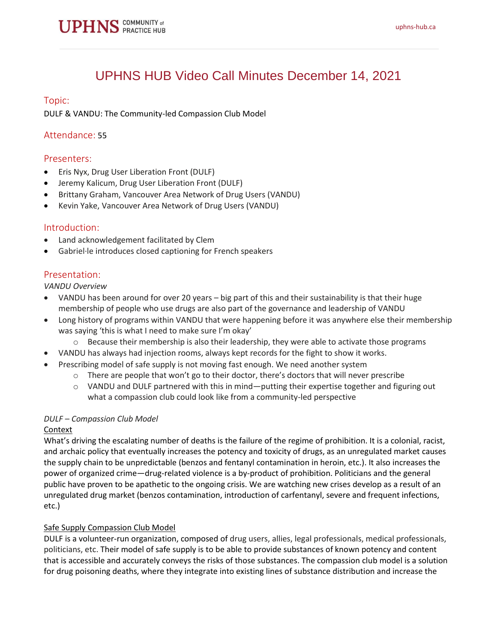# UPHNS HUB Video Call Minutes December 14, 2021

## Topic:

DULF & VANDU: The Community-led Compassion Club Model

## Attendance: 55

## Presenters:

- Eris Nyx, Drug User Liberation Front (DULF)
- Jeremy Kalicum, Drug User Liberation Front (DULF)
- Brittany Graham, Vancouver Area Network of Drug Users (VANDU)
- Kevin Yake, Vancouver Area Network of Drug Users (VANDU)

## Introduction:

- Land acknowledgement facilitated by Clem
- Gabriel·le introduces closed captioning for French speakers

# Presentation:

*VANDU Overview*

- VANDU has been around for over 20 years big part of this and their sustainability is that their huge membership of people who use drugs are also part of the governance and leadership of VANDU
- Long history of programs within VANDU that were happening before it was anywhere else their membership was saying 'this is what I need to make sure I'm okay'
	- $\circ$  Because their membership is also their leadership, they were able to activate those programs
- VANDU has always had injection rooms, always kept records for the fight to show it works.
- Prescribing model of safe supply is not moving fast enough. We need another system
	- $\circ$  There are people that won't go to their doctor, there's doctors that will never prescribe
	- $\circ$  VANDU and DULF partnered with this in mind—putting their expertise together and figuring out what a compassion club could look like from a community-led perspective

## *DULF – Compassion Club Model*

#### Context

What's driving the escalating number of deaths is the failure of the regime of prohibition. It is a colonial, racist, and archaic policy that eventually increases the potency and toxicity of drugs, as an unregulated market causes the supply chain to be unpredictable (benzos and fentanyl contamination in heroin, etc.). It also increases the power of organized crime—drug-related violence is a by-product of prohibition. Politicians and the general public have proven to be apathetic to the ongoing crisis. We are watching new crises develop as a result of an unregulated drug market (benzos contamination, introduction of carfentanyl, severe and frequent infections, etc.)

#### Safe Supply Compassion Club Model

DULF is a volunteer-run organization, composed of drug users, allies, legal professionals, medical professionals, politicians, etc. Their model of safe supply is to be able to provide substances of known potency and content that is accessible and accurately conveys the risks of those substances. The compassion club model is a solution for drug poisoning deaths, where they integrate into existing lines of substance distribution and increase the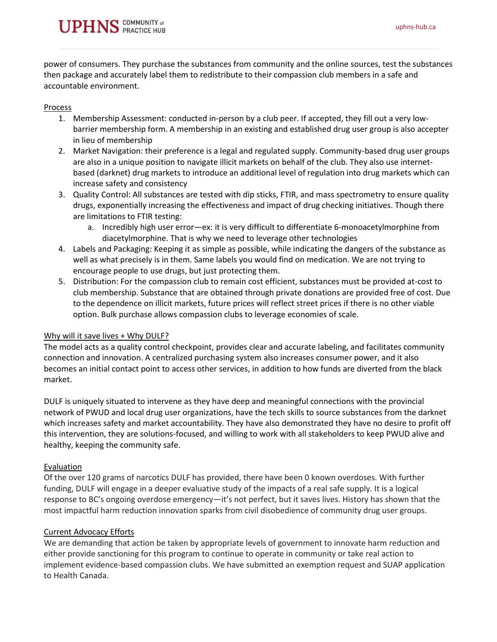power of consumers. They purchase the substances from community and the online sources, test the substances then package and accurately label them to redistribute to their compassion club members in a safe and accountable environment.

#### Process

- 1. Membership Assessment: conducted in-person by a club peer. If accepted, they fill out a very lowbarrier membership form. A membership in an existing and established drug user group is also accepter in lieu of membership
- 2. Market Navigation: their preference is a legal and regulated supply. Community-based drug user groups are also in a unique position to navigate illicit markets on behalf of the club. They also use internetbased (darknet) drug markets to introduce an additional level of regulation into drug markets which can increase safety and consistency
- 3. Quality Control: All substances are tested with dip sticks, FTIR, and mass spectrometry to ensure quality drugs, exponentially increasing the effectiveness and impact of drug checking initiatives. Though there are limitations to FTIR testing:
	- a. Incredibly high user error—ex: it is very difficult to differentiate 6-monoacetylmorphine from diacetylmorphine. That is why we need to leverage other technologies
- 4. Labels and Packaging: Keeping it as simple as possible, while indicating the dangers of the substance as well as what precisely is in them. Same labels you would find on medication. We are not trying to encourage people to use drugs, but just protecting them.
- 5. Distribution: For the compassion club to remain cost efficient, substances must be provided at-cost to club membership. Substance that are obtained through private donations are provided free of cost. Due to the dependence on illicit markets, future prices will reflect street prices if there is no other viable option. Bulk purchase allows compassion clubs to leverage economies of scale.

#### Why will it save lives + Why DULF?

The model acts as a quality control checkpoint, provides clear and accurate labeling, and facilitates community connection and innovation. A centralized purchasing system also increases consumer power, and it also becomes an initial contact point to access other services, in addition to how funds are diverted from the black market.

DULF is uniquely situated to intervene as they have deep and meaningful connections with the provincial network of PWUD and local drug user organizations, have the tech skills to source substances from the darknet which increases safety and market accountability. They have also demonstrated they have no desire to profit off this intervention, they are solutions-focused, and willing to work with all stakeholders to keep PWUD alive and healthy, keeping the community safe.

#### Evaluation

Of the over 120 grams of narcotics DULF has provided, there have been 0 known overdoses. With further funding, DULF will engage in a deeper evaluative study of the impacts of a real safe supply. It is a logical response to BC's ongoing overdose emergency—it's not perfect, but it saves lives. History has shown that the most impactful harm reduction innovation sparks from civil disobedience of community drug user groups.

#### Current Advocacy Efforts

We are demanding that action be taken by appropriate levels of government to innovate harm reduction and either provide sanctioning for this program to continue to operate in community or take real action to implement evidence-based compassion clubs. We have submitted an exemption request and SUAP application to Health Canada.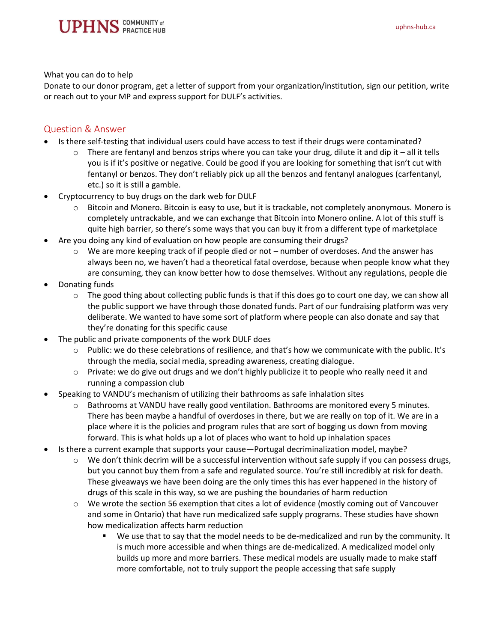#### What you can do to help

Donate to our donor program, get a letter of support from your organization/institution, sign our petition, write or reach out to your MP and express support for DULF's activities.

## Question & Answer

- Is there self-testing that individual users could have access to test if their drugs were contaminated?
	- There are fentanyl and benzos strips where you can take your drug, dilute it and dip it  $-$  all it tells you is if it's positive or negative. Could be good if you are looking for something that isn't cut with fentanyl or benzos. They don't reliably pick up all the benzos and fentanyl analogues (carfentanyl, etc.) so it is still a gamble.
- Cryptocurrency to buy drugs on the dark web for DULF
	- o Bitcoin and Monero. Bitcoin is easy to use, but it is trackable, not completely anonymous. Monero is completely untrackable, and we can exchange that Bitcoin into Monero online. A lot of this stuff is quite high barrier, so there's some ways that you can buy it from a different type of marketplace
- Are you doing any kind of evaluation on how people are consuming their drugs?
	- $\circ$  We are more keeping track of if people died or not number of overdoses. And the answer has always been no, we haven't had a theoretical fatal overdose, because when people know what they are consuming, they can know better how to dose themselves. Without any regulations, people die
- Donating funds
	- $\circ$  The good thing about collecting public funds is that if this does go to court one day, we can show all the public support we have through those donated funds. Part of our fundraising platform was very deliberate. We wanted to have some sort of platform where people can also donate and say that they're donating for this specific cause
- The public and private components of the work DULF does
	- $\circ$  Public: we do these celebrations of resilience, and that's how we communicate with the public. It's through the media, social media, spreading awareness, creating dialogue.
	- $\circ$  Private: we do give out drugs and we don't highly publicize it to people who really need it and running a compassion club
- Speaking to VANDU's mechanism of utilizing their bathrooms as safe inhalation sites
	- o Bathrooms at VANDU have really good ventilation. Bathrooms are monitored every 5 minutes. There has been maybe a handful of overdoses in there, but we are really on top of it. We are in a place where it is the policies and program rules that are sort of bogging us down from moving forward. This is what holds up a lot of places who want to hold up inhalation spaces
- Is there a current example that supports your cause—Portugal decriminalization model, maybe?
	- $\circ$  We don't think decrim will be a successful intervention without safe supply if you can possess drugs, but you cannot buy them from a safe and regulated source. You're still incredibly at risk for death. These giveaways we have been doing are the only times this has ever happened in the history of drugs of this scale in this way, so we are pushing the boundaries of harm reduction
	- o We wrote the section 56 exemption that cites a lot of evidence (mostly coming out of Vancouver and some in Ontario) that have run medicalized safe supply programs. These studies have shown how medicalization affects harm reduction
		- We use that to say that the model needs to be de-medicalized and run by the community. It is much more accessible and when things are de-medicalized. A medicalized model only builds up more and more barriers. These medical models are usually made to make staff more comfortable, not to truly support the people accessing that safe supply